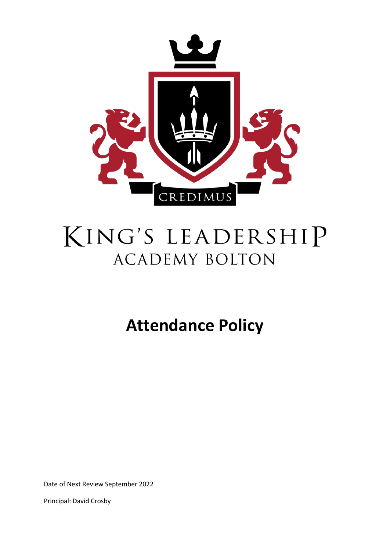

# KING'S LEADERSHIP **ACADEMY BOLTON**

## **Attendance Policy**

Date of Next Review September 2022

Principal: David Crosby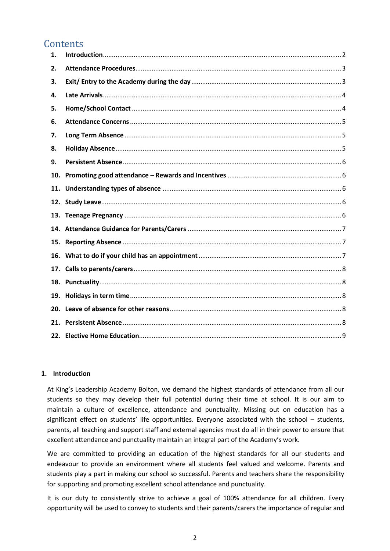### **Contents**

| 1.  |  |
|-----|--|
| 2.  |  |
| 3.  |  |
| 4.  |  |
| 5.  |  |
| 6.  |  |
| 7.  |  |
| 8.  |  |
| 9.  |  |
| 10. |  |
| 11. |  |
|     |  |
|     |  |
|     |  |
|     |  |
|     |  |
|     |  |
|     |  |
| 18. |  |
| 19. |  |
| 20. |  |
| 21. |  |

#### <span id="page-1-0"></span>**1. Introduction**

At King's Leadership Academy Bolton, we demand the highest standards of attendance from all our students so they may develop their full potential during their time at school. It is our aim to maintain a culture of excellence, attendance and punctuality. Missing out on education has a significant effect on students' life opportunities. Everyone associated with the school – students, parents, all teaching and support staff and external agencies must do all in their power to ensure that excellent attendance and punctuality maintain an integral part of the Academy's work.

We are committed to providing an education of the highest standards for all our students and endeavour to provide an environment where all students feel valued and welcome. Parents and students play a part in making our school so successful. Parents and teachers share the responsibility for supporting and promoting excellent school attendance and punctuality.

It is our duty to consistently strive to achieve a goal of 100% attendance for all children. Every opportunity will be used to convey to students and their parents/carers the importance of regular and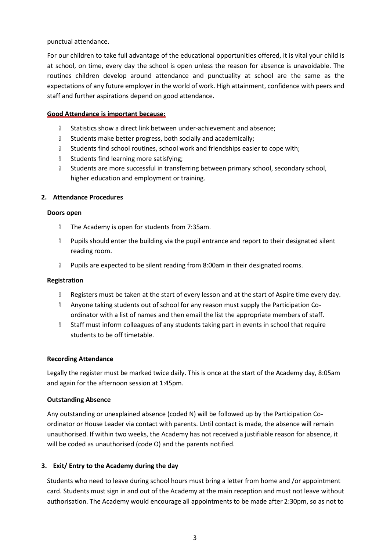punctual attendance.

For our children to take full advantage of the educational opportunities offered, it is vital your child is at school, on time, every day the school is open unless the reason for absence is unavoidable. The routines children develop around attendance and punctuality at school are the same as the expectations of any future employer in the world of work. High attainment, confidence with peers and staff and further aspirations depend on good attendance.

#### **Good Attendance is important because:**

- **I** Statistics show a direct link between under-achievement and absence;
- **B** Students make better progress, both socially and academically;
- **I** Students find school routines, school work and friendships easier to cope with;
- **B** Students find learning more satisfying;
- **B** Students are more successful in transferring between primary school, secondary school, higher education and employment or training.

#### <span id="page-2-0"></span>**2. Attendance Procedures**

#### **Doors open**

- **The Academy is open for students from 7:35am.**
- **Pupils should enter the building via the pupil entrance and report to their designated silent** reading room.
- **Pupils are expected to be silent reading from 8:00am in their designated rooms.**

#### **Registration**

- **Registers must be taken at the start of every lesson and at the start of Aspire time every day.**
- **Anyone taking students out of school for any reason must supply the Participation Co**ordinator with a list of names and then email the list the appropriate members of staff.
- **I** Staff must inform colleagues of any students taking part in events in school that require students to be off timetable.

#### **Recording Attendance**

Legally the register must be marked twice daily. This is once at the start of the Academy day, 8:05am and again for the afternoon session at 1:45pm.

#### **Outstanding Absence**

Any outstanding or unexplained absence (coded N) will be followed up by the Participation Coordinator or House Leader via contact with parents. Until contact is made, the absence will remain unauthorised. If within two weeks, the Academy has not received a justifiable reason for absence, it will be coded as unauthorised (code O) and the parents notified.

#### <span id="page-2-1"></span>**3. Exit/ Entry to the Academy during the day**

Students who need to leave during school hours must bring a letter from home and /or appointment card. Students must sign in and out of the Academy at the main reception and must not leave without authorisation. The Academy would encourage all appointments to be made after 2:30pm, so as not to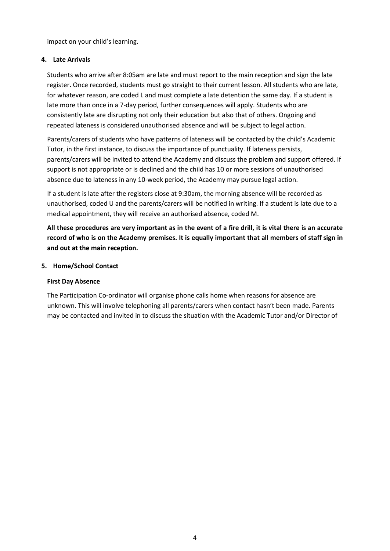impact on your child's learning.

#### <span id="page-3-0"></span>**4. Late Arrivals**

Students who arrive after 8:05am are late and must report to the main reception and sign the late register. Once recorded, students must go straight to their current lesson. All students who are late, for whatever reason, are coded L and must complete a late detention the same day. If a student is late more than once in a 7-day period, further consequences will apply. Students who are consistently late are disrupting not only their education but also that of others. Ongoing and repeated lateness is considered unauthorised absence and will be subject to legal action.

Parents/carers of students who have patterns of lateness will be contacted by the child's Academic Tutor, in the first instance, to discuss the importance of punctuality. If lateness persists, parents/carers will be invited to attend the Academy and discuss the problem and support offered. If support is not appropriate or is declined and the child has 10 or more sessions of unauthorised absence due to lateness in any 10-week period, the Academy may pursue legal action.

If a student is late after the registers close at 9:30am, the morning absence will be recorded as unauthorised, coded U and the parents/carers will be notified in writing. If a student is late due to a medical appointment, they will receive an authorised absence, coded M.

All these procedures are very important as in the event of a fire drill, it is vital there is an accurate record of who is on the Academy premises. It is equally important that all members of staff sign in **and out at the main reception.**

#### <span id="page-3-1"></span>**5. Home/School Contact**

#### **First Day Absence**

The Participation Co-ordinator will organise phone calls home when reasons for absence are unknown. This will involve telephoning all parents/carers when contact hasn't been made. Parents may be contacted and invited in to discuss the situation with the Academic Tutor and/or Director of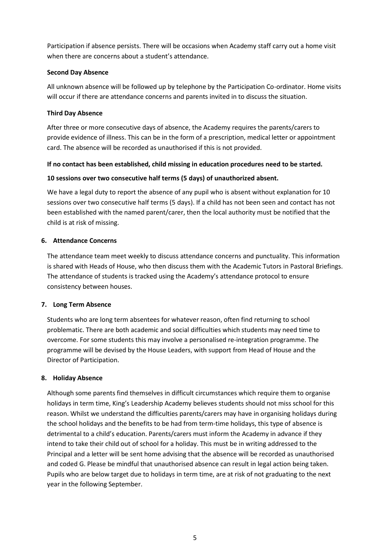Participation if absence persists. There will be occasions when Academy staff carry out a home visit when there are concerns about a student's attendance.

#### **Second Day Absence**

All unknown absence will be followed up by telephone by the Participation Co-ordinator. Home visits will occur if there are attendance concerns and parents invited in to discuss the situation.

#### **Third Day Absence**

After three or more consecutive days of absence, the Academy requires the parents/carers to provide evidence of illness. This can be in the form of a prescription, medical letter or appointment card. The absence will be recorded as unauthorised if this is not provided.

#### **If no contact has been established, child missing in education procedures need to be started.**

#### **10 sessions over two consecutive half terms (5 days) of unauthorized absent.**

We have a legal duty to report the absence of any pupil who is absent without explanation for 10 sessions over two consecutive half terms (5 days). If a child has not been seen and contact has not been established with the named parent/carer, then the local authority must be notified that the child is at risk of missing.

#### <span id="page-4-0"></span>**6. Attendance Concerns**

The attendance team meet weekly to discuss attendance concerns and punctuality. This information is shared with Heads of House, who then discuss them with the Academic Tutors in Pastoral Briefings. The attendance of students is tracked using the Academy's attendance protocol to ensure consistency between houses.

#### <span id="page-4-1"></span>**7. Long Term Absence**

Students who are long term absentees for whatever reason, often find returning to school problematic. There are both academic and social difficulties which students may need time to overcome. For some students this may involve a personalised re-integration programme. The programme will be devised by the House Leaders, with support from Head of House and the Director of Participation.

#### <span id="page-4-2"></span>**8. Holiday Absence**

Although some parents find themselves in difficult circumstances which require them to organise holidays in term time, King's Leadership Academy believes students should not miss school for this reason. Whilst we understand the difficulties parents/carers may have in organising holidays during the school holidays and the benefits to be had from term-time holidays, this type of absence is detrimental to a child's education. Parents/carers must inform the Academy in advance if they intend to take their child out of school for a holiday. This must be in writing addressed to the Principal and a letter will be sent home advising that the absence will be recorded as unauthorised and coded G. Please be mindful that unauthorised absence can result in legal action being taken. Pupils who are below target due to holidays in term time, are at risk of not graduating to the next year in the following September.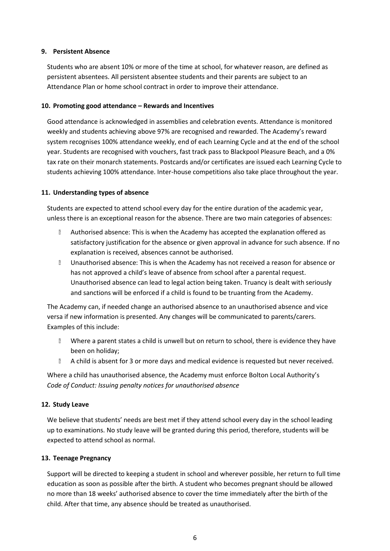#### <span id="page-5-0"></span>**9. Persistent Absence**

Students who are absent 10% or more of the time at school, for whatever reason, are defined as persistent absentees. All persistent absentee students and their parents are subject to an Attendance Plan or home school contract in order to improve their attendance.

#### <span id="page-5-1"></span>**10. Promoting good attendance – Rewards and Incentives**

Good attendance is acknowledged in assemblies and celebration events. Attendance is monitored weekly and students achieving above 97% are recognised and rewarded. The Academy's reward system recognises 100% attendance weekly, end of each Learning Cycle and at the end of the school year. Students are recognised with vouchers, fast track pass to Blackpool Pleasure Beach, and a 0% tax rate on their monarch statements. Postcards and/or certificates are issued each Learning Cycle to students achieving 100% attendance. Inter-house competitions also take place throughout the year.

#### <span id="page-5-2"></span>**11. Understanding types of absence**

Students are expected to attend school every day for the entire duration of the academic year, unless there is an exceptional reason for the absence. There are two main categories of absences:

- **Mulla** Authorised absence: This is when the Academy has accepted the explanation offered as satisfactory justification for the absence or given approval in advance for such absence. If no explanation is received, absences cannot be authorised.
- **I** Unauthorised absence: This is when the Academy has not received a reason for absence or has not approved a child's leave of absence from school after a parental request. Unauthorised absence can lead to legal action being taken. Truancy is dealt with seriously and sanctions will be enforced if a child is found to be truanting from the Academy.

The Academy can, if needed change an authorised absence to an unauthorised absence and vice versa if new information is presented. Any changes will be communicated to parents/carers. Examples of this include:

- **Mere a parent states a child is unwell but on return to school, there is evidence they have** been on holiday;
- **A child is absent for 3 or more days and medical evidence is requested but never received.**

Where a child has unauthorised absence, the Academy must enforce Bolton Local Authority's *Code of Conduct: Issuing penalty notices for unauthorised absence*

#### <span id="page-5-3"></span>**12. Study Leave**

We believe that students' needs are best met if they attend school every day in the school leading up to examinations. No study leave will be granted during this period, therefore, students will be expected to attend school as normal.

#### <span id="page-5-4"></span>**13. Teenage Pregnancy**

Support will be directed to keeping a student in school and wherever possible, her return to full time education as soon as possible after the birth. A student who becomes pregnant should be allowed no more than 18 weeks' authorised absence to cover the time immediately after the birth of the child. After that time, any absence should be treated as unauthorised.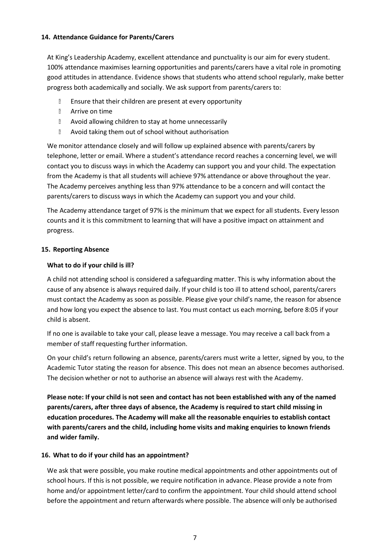#### <span id="page-6-0"></span>**14. Attendance Guidance for Parents/Carers**

At King's Leadership Academy, excellent attendance and punctuality is our aim for every student. 100% attendance maximises learning opportunities and parents/carers have a vital role in promoting good attitudes in attendance. Evidence shows that students who attend school regularly, make better progress both academically and socially. We ask support from parents/carers to:

- **Ensure that their children are present at every opportunity**
- **B** Arrive on time
- **E** Avoid allowing children to stay at home unnecessarily
- Avoid taking them out of school without authorisation

We monitor attendance closely and will follow up explained absence with parents/carers by telephone, letter or email. Where a student's attendance record reaches a concerning level, we will contact you to discuss ways in which the Academy can support you and your child. The expectation from the Academy is that all students will achieve 97% attendance or above throughout the year. The Academy perceives anything less than 97% attendance to be a concern and will contact the parents/carers to discuss ways in which the Academy can support you and your child.

The Academy attendance target of 97% is the minimum that we expect for all students. Every lesson counts and it is this commitment to learning that will have a positive impact on attainment and progress.

#### <span id="page-6-1"></span>**15. Reporting Absence**

#### **What to do if your child is ill?**

A child not attending school is considered a safeguarding matter. This is why information about the cause of any absence is always required daily. If your child is too ill to attend school, parents/carers must contact the Academy as soon as possible. Please give your child's name, the reason for absence and how long you expect the absence to last. You must contact us each morning, before 8:05 if your child is absent.

If no one is available to take your call, please leave a message. You may receive a call back from a member of staff requesting further information.

On your child's return following an absence, parents/carers must write a letter, signed by you, to the Academic Tutor stating the reason for absence. This does not mean an absence becomes authorised. The decision whether or not to authorise an absence will always rest with the Academy.

**Please note: If your child is not seen and contact has not been established with any of the named parents/carers, after three days of absence, the Academy is required to start child missing in education procedures. The Academy will make all the reasonable enquiries to establish contact with parents/carers and the child, including home visits and making enquiries to known friends and wider family.**

#### <span id="page-6-2"></span>**16. What to do if your child has an appointment?**

We ask that were possible, you make routine medical appointments and other appointments out of school hours. If this is not possible, we require notification in advance. Please provide a note from home and/or appointment letter/card to confirm the appointment. Your child should attend school before the appointment and return afterwards where possible. The absence will only be authorised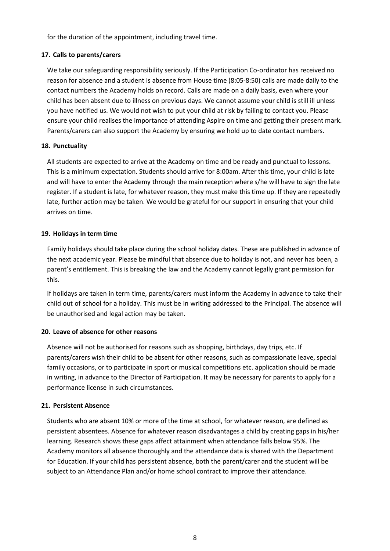for the duration of the appointment, including travel time.

#### <span id="page-7-0"></span>**17. Calls to parents/carers**

We take our safeguarding responsibility seriously. If the Participation Co-ordinator has received no reason for absence and a student is absence from House time (8:05-8:50) calls are made daily to the contact numbers the Academy holds on record. Calls are made on a daily basis, even where your child has been absent due to illness on previous days. We cannot assume your child is still ill unless you have notified us. We would not wish to put your child at risk by failing to contact you. Please ensure your child realises the importance of attending Aspire on time and getting their present mark. Parents/carers can also support the Academy by ensuring we hold up to date contact numbers.

#### <span id="page-7-1"></span>**18. Punctuality**

All students are expected to arrive at the Academy on time and be ready and punctual to lessons. This is a minimum expectation. Students should arrive for 8:00am. After this time, your child is late and will have to enter the Academy through the main reception where s/he will have to sign the late register. If a student is late, for whatever reason, they must make this time up. If they are repeatedly late, further action may be taken. We would be grateful for our support in ensuring that your child arrives on time.

#### <span id="page-7-2"></span>**19. Holidays in term time**

Family holidays should take place during the school holiday dates. These are published in advance of the next academic year. Please be mindful that absence due to holiday is not, and never has been, a parent's entitlement. This is breaking the law and the Academy cannot legally grant permission for this.

If holidays are taken in term time, parents/carers must inform the Academy in advance to take their child out of school for a holiday. This must be in writing addressed to the Principal. The absence will be unauthorised and legal action may be taken.

#### <span id="page-7-3"></span>**20. Leave of absence for other reasons**

Absence will not be authorised for reasons such as shopping, birthdays, day trips, etc. If parents/carers wish their child to be absent for other reasons, such as compassionate leave, special family occasions, or to participate in sport or musical competitions etc. application should be made in writing, in advance to the Director of Participation. It may be necessary for parents to apply for a performance license in such circumstances.

#### <span id="page-7-4"></span>**21. Persistent Absence**

Students who are absent 10% or more of the time at school, for whatever reason, are defined as persistent absentees. Absence for whatever reason disadvantages a child by creating gaps in his/her learning. Research shows these gaps affect attainment when attendance falls below 95%. The Academy monitors all absence thoroughly and the attendance data is shared with the Department for Education. If your child has persistent absence, both the parent/carer and the student will be subject to an Attendance Plan and/or home school contract to improve their attendance.